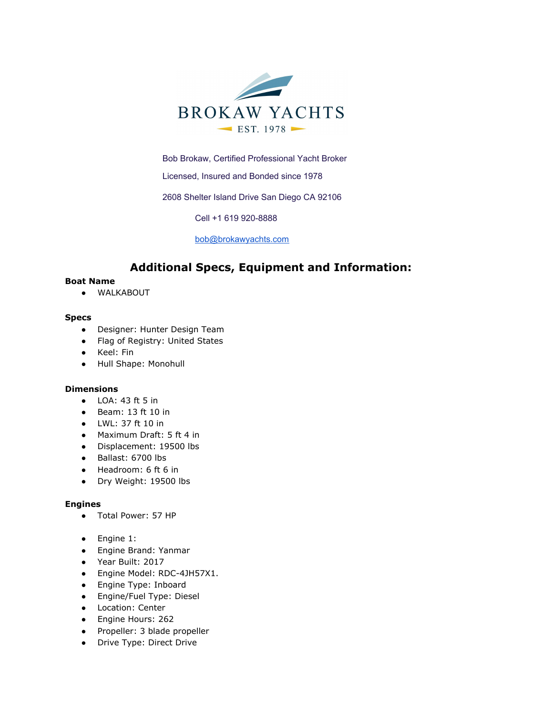

Bob Brokaw, Certified Professional Yacht Broker

Licensed, Insured and Bonded since 1978

2608 Shelter Island Drive San Diego CA 92106

Cell +1 619 920-8888

[bob@brokawyachts.com](mailto:bob@brokawyachts.com)

# **Additional Specs, Equipment and Information:**

#### **Boat Name**

● WALKABOUT

#### **Specs**

- Designer: Hunter Design Team
- Flag of Registry: United States
- Keel: Fin
- Hull Shape: Monohull

#### **Dimensions**

- LOA: 43 ft 5 in
- Beam: 13 ft 10 in
- LWL: 37 ft 10 in
- Maximum Draft: 5 ft 4 in
- Displacement: 19500 lbs
- Ballast: 6700 lbs
- Headroom: 6 ft 6 in
- Dry Weight: 19500 lbs

#### **Engines**

- Total Power: 57 HP
- Engine 1:
- Engine Brand: Yanmar
- Year Built: 2017
- Engine Model: RDC-4JH57X1.
- Engine Type: Inboard
- Engine/Fuel Type: Diesel
- Location: Center
- Engine Hours: 262
- Propeller: 3 blade propeller
- Drive Type: Direct Drive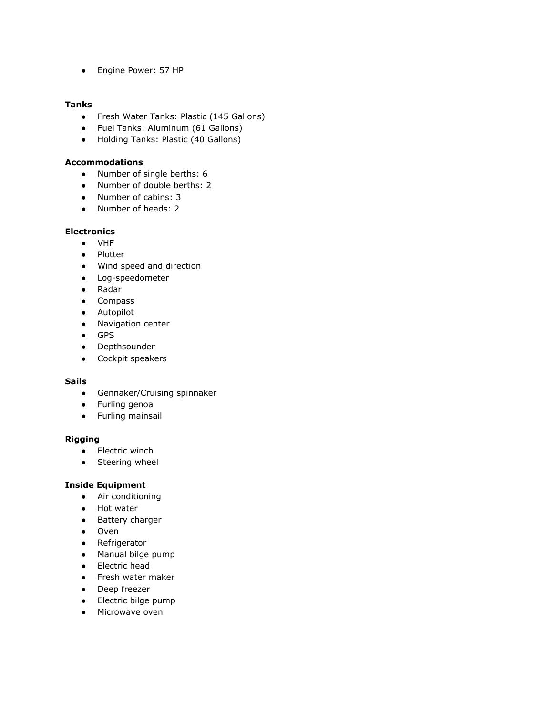● Engine Power: 57 HP

# **Tanks**

- Fresh Water Tanks: Plastic (145 Gallons)
- Fuel Tanks: Aluminum (61 Gallons)
- Holding Tanks: Plastic (40 Gallons)

#### **Accommodations**

- Number of single berths: 6
- Number of double berths: 2
- Number of cabins: 3
- Number of heads: 2

# **Electronics**

- VHF
- Plotter
- Wind speed and direction
- Log-speedometer
- Radar
- Compass
- Autopilot
- Navigation center
- GPS
- Depthsounder
- Cockpit speakers

#### **Sails**

- Gennaker/Cruising spinnaker
- Furling genoa
- Furling mainsail

#### **Rigging**

- Electric winch
- Steering wheel

#### **Inside Equipment**

- Air conditioning
- Hot water
- Battery charger
- Oven
- Refrigerator
- Manual bilge pump
- Electric head
- Fresh water maker
- Deep freezer
- Electric bilge pump
- Microwave oven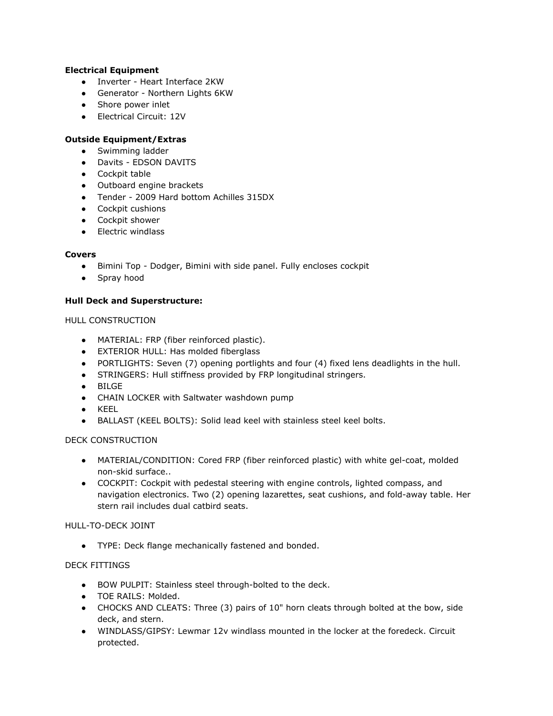# **Electrical Equipment**

- Inverter Heart Interface 2KW
- Generator Northern Lights 6KW
- Shore power inlet
- Electrical Circuit: 12V

# **Outside Equipment/Extras**

- Swimming ladder
- Davits EDSON DAVITS
- Cockpit table
- Outboard engine brackets
- Tender 2009 Hard bottom Achilles 315DX
- Cockpit cushions
- Cockpit shower
- Electric windlass

# **Covers**

- Bimini Top Dodger, Bimini with side panel. Fully encloses cockpit
- Spray hood

# **Hull Deck and Superstructure:**

# HULL CONSTRUCTION

- MATERIAL: FRP (fiber reinforced plastic).
- EXTERIOR HULL: Has molded fiberglass
- PORTLIGHTS: Seven (7) opening portlights and four (4) fixed lens deadlights in the hull.
- STRINGERS: Hull stiffness provided by FRP longitudinal stringers.
- BILGE
- CHAIN LOCKER with Saltwater washdown pump
- KEEL
- BALLAST (KEEL BOLTS): Solid lead keel with stainless steel keel bolts.

# DECK CONSTRUCTION

- MATERIAL/CONDITION: Cored FRP (fiber reinforced plastic) with white gel-coat, molded non-skid surface..
- COCKPIT: Cockpit with pedestal steering with engine controls, lighted compass, and navigation electronics. Two (2) opening lazarettes, seat cushions, and fold-away table. Her stern rail includes dual catbird seats.

#### HULL-TO-DECK JOINT

● TYPE: Deck flange mechanically fastened and bonded.

# DECK FITTINGS

- BOW PULPIT: Stainless steel through-bolted to the deck.
- TOE RAILS: Molded.
- CHOCKS AND CLEATS: Three (3) pairs of 10" horn cleats through bolted at the bow, side deck, and stern.
- WINDLASS/GIPSY: Lewmar 12v windlass mounted in the locker at the foredeck. Circuit protected.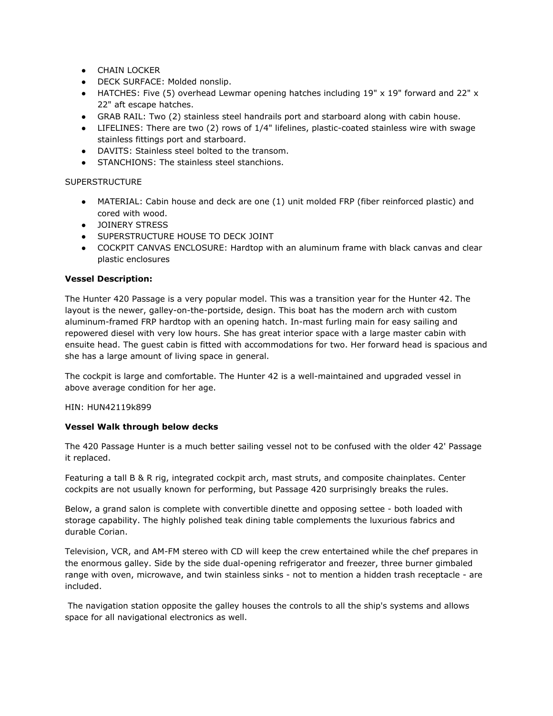- **•** CHAIN LOCKER
- DECK SURFACE: Molded nonslip.
- HATCHES: Five (5) overhead Lewmar opening hatches including 19" x 19" forward and 22" x 22" aft escape hatches.
- GRAB RAIL: Two (2) stainless steel handrails port and starboard along with cabin house.
- LIFELINES: There are two (2) rows of 1/4" lifelines, plastic-coated stainless wire with swage stainless fittings port and starboard.
- DAVITS: Stainless steel bolted to the transom.
- STANCHIONS: The stainless steel stanchions.

#### **SUPERSTRUCTURE**

- MATERIAL: Cabin house and deck are one (1) unit molded FRP (fiber reinforced plastic) and cored with wood.
- JOINERY STRESS
- **SUPERSTRUCTURE HOUSE TO DECK JOINT**
- COCKPIT CANVAS ENCLOSURE: Hardtop with an aluminum frame with black canvas and clear plastic enclosures

#### **Vessel Description:**

The Hunter 420 Passage is a very popular model. This was a transition year for the Hunter 42. The layout is the newer, galley-on-the-portside, design. This boat has the modern arch with custom aluminum-framed FRP hardtop with an opening hatch. In-mast furling main for easy sailing and repowered diesel with very low hours. She has great interior space with a large master cabin with ensuite head. The guest cabin is fitted with accommodations for two. Her forward head is spacious and she has a large amount of living space in general.

The cockpit is large and comfortable. The Hunter 42 is a well-maintained and upgraded vessel in above average condition for her age.

#### HIN: HUN42119k899

#### **Vessel Walk through below decks**

The 420 Passage Hunter is a much better sailing vessel not to be confused with the older 42' Passage it replaced.

Featuring a tall B & R rig, integrated cockpit arch, mast struts, and composite chainplates. Center cockpits are not usually known for performing, but Passage 420 surprisingly breaks the rules.

Below, a grand salon is complete with convertible dinette and opposing settee - both loaded with storage capability. The highly polished teak dining table complements the luxurious fabrics and durable Corian.

Television, VCR, and AM-FM stereo with CD will keep the crew entertained while the chef prepares in the enormous galley. Side by the side dual-opening refrigerator and freezer, three burner gimbaled range with oven, microwave, and twin stainless sinks - not to mention a hidden trash receptacle - are included.

 The navigation station opposite the galley houses the controls to all the ship's systems and allows space for all navigational electronics as well.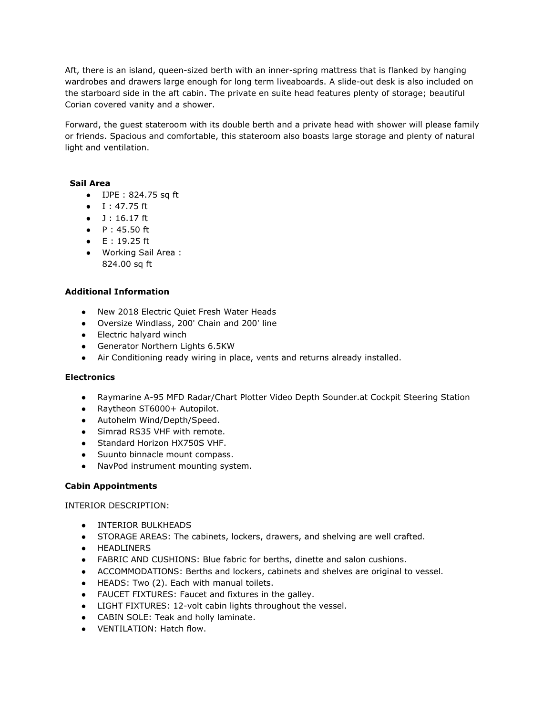Aft, there is an island, queen-sized berth with an inner-spring mattress that is flanked by hanging wardrobes and drawers large enough for long term liveaboards. A slide-out desk is also included on the starboard side in the aft cabin. The private en suite head features plenty of storage; beautiful Corian covered vanity and a shower.

Forward, the guest stateroom with its double berth and a private head with shower will please family or friends. Spacious and comfortable, this stateroom also boasts large storage and plenty of natural light and ventilation.

#### **Sail Area**

- IJPE : 824.75 sq ft
- I : 47.75 ft
- $-1:16.17$  ft
- P : 45.50 ft
- $\bullet$  E : 19.25 ft
- Working Sail Area : 824.00 sq ft

# **Additional Information**

- New 2018 Electric Quiet Fresh Water Heads
- Oversize Windlass, 200' Chain and 200' line
- Electric halyard winch
- Generator Northern Lights 6.5KW
- Air Conditioning ready wiring in place, vents and returns already installed.

#### **Electronics**

- Raymarine A-95 MFD Radar/Chart Plotter Video Depth Sounder.at Cockpit Steering Station
- Raytheon ST6000+ Autopilot.
- Autohelm Wind/Depth/Speed.
- Simrad RS35 VHF with remote.
- Standard Horizon HX750S VHF.
- Suunto binnacle mount compass.
- NavPod instrument mounting system.

#### **Cabin Appointments**

INTERIOR DESCRIPTION:

- INTERIOR BULKHEADS
- STORAGE AREAS: The cabinets, lockers, drawers, and shelving are well crafted.
- HEADLINERS
- FABRIC AND CUSHIONS: Blue fabric for berths, dinette and salon cushions.
- ACCOMMODATIONS: Berths and lockers, cabinets and shelves are original to vessel.
- HEADS: Two (2). Each with manual toilets.
- FAUCET FIXTURES: Faucet and fixtures in the galley.
- LIGHT FIXTURES: 12-volt cabin lights throughout the vessel.
- CABIN SOLE: Teak and holly laminate.
- VENTILATION: Hatch flow.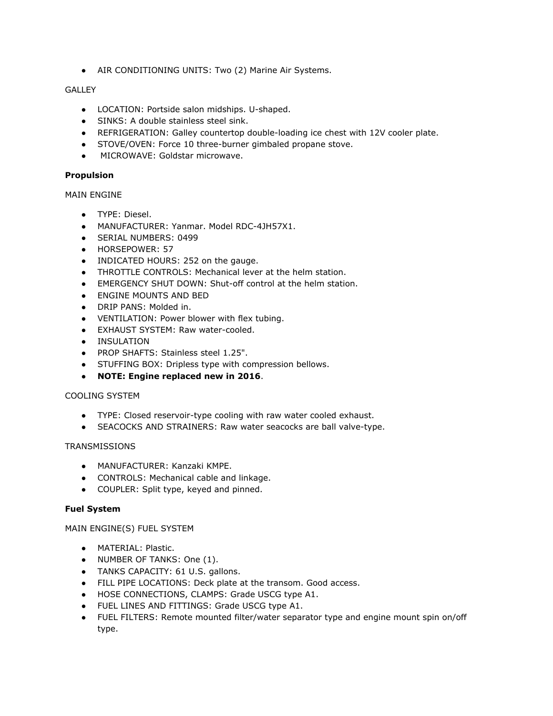• AIR CONDITIONING UNITS: Two (2) Marine Air Systems.

# GALLEY

- LOCATION: Portside salon midships. U-shaped.
- SINKS: A double stainless steel sink.
- REFRIGERATION: Galley countertop double-loading ice chest with 12V cooler plate.
- STOVE/OVEN: Force 10 three-burner gimbaled propane stove.
- MICROWAVE: Goldstar microwave.

#### **Propulsion**

# MAIN ENGINE

- TYPE: Diesel.
- MANUFACTURER: Yanmar. Model RDC-4JH57X1.
- SERIAL NUMBERS: 0499
- HORSEPOWER: 57
- INDICATED HOURS: 252 on the gauge.
- THROTTLE CONTROLS: Mechanical lever at the helm station.
- EMERGENCY SHUT DOWN: Shut-off control at the helm station.
- **ENGINE MOUNTS AND BED**
- DRIP PANS: Molded in.
- VENTILATION: Power blower with flex tubing.
- EXHAUST SYSTEM: Raw water-cooled.
- INSULATION
- PROP SHAFTS: Stainless steel 1.25".
- STUFFING BOX: Dripless type with compression bellows.
- **NOTE: Engine replaced new in 2016**.

#### COOLING SYSTEM

- TYPE: Closed reservoir-type cooling with raw water cooled exhaust.
- SEACOCKS AND STRAINERS: Raw water seacocks are ball valve-type.

#### **TRANSMISSIONS**

- MANUFACTURER: Kanzaki KMPE.
- CONTROLS: Mechanical cable and linkage.
- COUPLER: Split type, keyed and pinned.

#### **Fuel System**

MAIN ENGINE(S) FUEL SYSTEM

- MATERIAL: Plastic.
- NUMBER OF TANKS: One (1).
- TANKS CAPACITY: 61 U.S. gallons.
- FILL PIPE LOCATIONS: Deck plate at the transom. Good access.
- HOSE CONNECTIONS, CLAMPS: Grade USCG type A1.
- FUEL LINES AND FITTINGS: Grade USCG type A1.
- FUEL FILTERS: Remote mounted filter/water separator type and engine mount spin on/off type.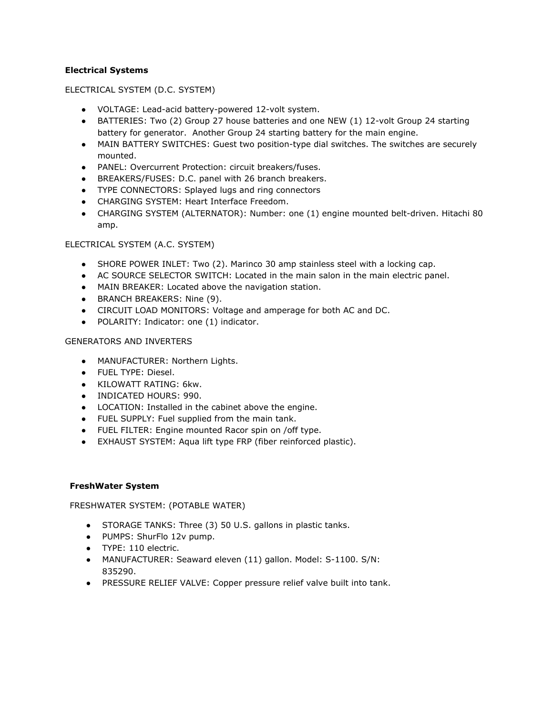# **Electrical Systems**

ELECTRICAL SYSTEM (D.C. SYSTEM)

- VOLTAGE: Lead-acid battery-powered 12-volt system.
- BATTERIES: Two (2) Group 27 house batteries and one NEW (1) 12-volt Group 24 starting battery for generator. Another Group 24 starting battery for the main engine.
- MAIN BATTERY SWITCHES: Guest two position-type dial switches. The switches are securely mounted.
- PANEL: Overcurrent Protection: circuit breakers/fuses.
- BREAKERS/FUSES: D.C. panel with 26 branch breakers.
- TYPE CONNECTORS: Splayed lugs and ring connectors
- CHARGING SYSTEM: Heart Interface Freedom.
- CHARGING SYSTEM (ALTERNATOR): Number: one (1) engine mounted belt-driven. Hitachi 80 amp.

#### ELECTRICAL SYSTEM (A.C. SYSTEM)

- SHORE POWER INLET: Two (2). Marinco 30 amp stainless steel with a locking cap.
- AC SOURCE SELECTOR SWITCH: Located in the main salon in the main electric panel.
- MAIN BREAKER: Located above the navigation station.
- BRANCH BREAKERS: Nine (9).
- CIRCUIT LOAD MONITORS: Voltage and amperage for both AC and DC.
- POLARITY: Indicator: one (1) indicator.

#### GENERATORS AND INVERTERS

- MANUFACTURER: Northern Lights.
- FUEL TYPE: Diesel.
- KILOWATT RATING: 6kw.
- INDICATED HOURS: 990.
- LOCATION: Installed in the cabinet above the engine.
- FUEL SUPPLY: Fuel supplied from the main tank.
- FUEL FILTER: Engine mounted Racor spin on /off type.
- EXHAUST SYSTEM: Aqua lift type FRP (fiber reinforced plastic).

#### **FreshWater System**

FRESHWATER SYSTEM: (POTABLE WATER)

- STORAGE TANKS: Three (3) 50 U.S. gallons in plastic tanks.
- PUMPS: ShurFlo 12v pump.
- TYPE: 110 electric.
- MANUFACTURER: Seaward eleven (11) gallon. Model: S-1100. S/N: 835290.
- PRESSURE RELIEF VALVE: Copper pressure relief valve built into tank.